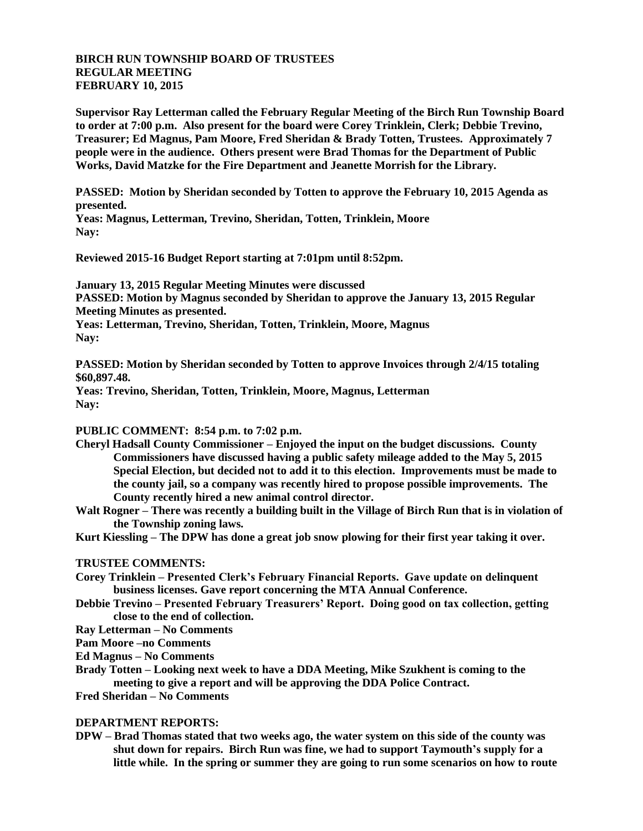## **BIRCH RUN TOWNSHIP BOARD OF TRUSTEES REGULAR MEETING FEBRUARY 10, 2015**

**Supervisor Ray Letterman called the February Regular Meeting of the Birch Run Township Board to order at 7:00 p.m. Also present for the board were Corey Trinklein, Clerk; Debbie Trevino, Treasurer; Ed Magnus, Pam Moore, Fred Sheridan & Brady Totten, Trustees. Approximately 7 people were in the audience. Others present were Brad Thomas for the Department of Public Works, David Matzke for the Fire Department and Jeanette Morrish for the Library.**

**PASSED: Motion by Sheridan seconded by Totten to approve the February 10, 2015 Agenda as presented.**

**Yeas: Magnus, Letterman, Trevino, Sheridan, Totten, Trinklein, Moore Nay:**

**Reviewed 2015-16 Budget Report starting at 7:01pm until 8:52pm.**

**January 13, 2015 Regular Meeting Minutes were discussed PASSED: Motion by Magnus seconded by Sheridan to approve the January 13, 2015 Regular Meeting Minutes as presented. Yeas: Letterman, Trevino, Sheridan, Totten, Trinklein, Moore, Magnus Nay:**

**PASSED: Motion by Sheridan seconded by Totten to approve Invoices through 2/4/15 totaling \$60,897.48.**

**Yeas: Trevino, Sheridan, Totten, Trinklein, Moore, Magnus, Letterman Nay:**

## **PUBLIC COMMENT: 8:54 p.m. to 7:02 p.m.**

- **Cheryl Hadsall County Commissioner – Enjoyed the input on the budget discussions. County Commissioners have discussed having a public safety mileage added to the May 5, 2015 Special Election, but decided not to add it to this election. Improvements must be made to the county jail, so a company was recently hired to propose possible improvements. The County recently hired a new animal control director.**
- **Walt Rogner – There was recently a building built in the Village of Birch Run that is in violation of the Township zoning laws.**

**Kurt Kiessling – The DPW has done a great job snow plowing for their first year taking it over.**

## **TRUSTEE COMMENTS:**

- **Corey Trinklein – Presented Clerk's February Financial Reports. Gave update on delinquent business licenses. Gave report concerning the MTA Annual Conference.**
- **Debbie Trevino – Presented February Treasurers' Report. Doing good on tax collection, getting close to the end of collection.**

**Ray Letterman – No Comments**

**Pam Moore –no Comments**

**Ed Magnus – No Comments**

**Brady Totten – Looking next week to have a DDA Meeting, Mike Szukhent is coming to the meeting to give a report and will be approving the DDA Police Contract.**

**Fred Sheridan – No Comments**

## **DEPARTMENT REPORTS:**

**DPW – Brad Thomas stated that two weeks ago, the water system on this side of the county was shut down for repairs. Birch Run was fine, we had to support Taymouth's supply for a little while. In the spring or summer they are going to run some scenarios on how to route**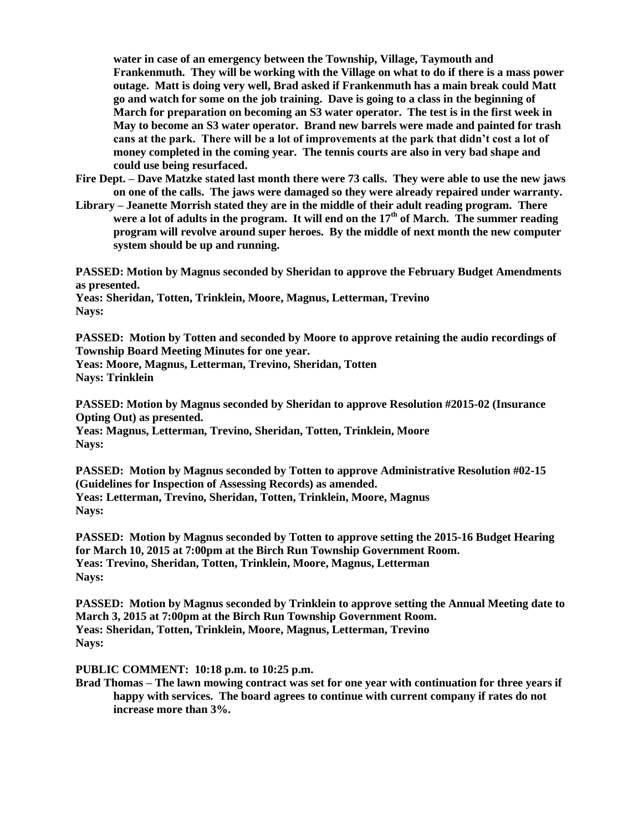**water in case of an emergency between the Township, Village, Taymouth and Frankenmuth. They will be working with the Village on what to do if there is a mass power outage. Matt is doing very well, Brad asked if Frankenmuth has a main break could Matt go and watch for some on the job training. Dave is going to a class in the beginning of March for preparation on becoming an S3 water operator. The test is in the first week in May to become an S3 water operator. Brand new barrels were made and painted for trash cans at the park. There will be a lot of improvements at the park that didn't cost a lot of money completed in the coming year. The tennis courts are also in very bad shape and could use being resurfaced.**

- **Fire Dept. – Dave Matzke stated last month there were 73 calls. They were able to use the new jaws on one of the calls. The jaws were damaged so they were already repaired under warranty.**
- **Library – Jeanette Morrish stated they are in the middle of their adult reading program. There were a lot of adults in the program. It will end on the 17th of March. The summer reading program will revolve around super heroes. By the middle of next month the new computer system should be up and running.**

**PASSED: Motion by Magnus seconded by Sheridan to approve the February Budget Amendments as presented.**

**Yeas: Sheridan, Totten, Trinklein, Moore, Magnus, Letterman, Trevino Nays:**

**PASSED: Motion by Totten and seconded by Moore to approve retaining the audio recordings of Township Board Meeting Minutes for one year.**

**Yeas: Moore, Magnus, Letterman, Trevino, Sheridan, Totten Nays: Trinklein**

**PASSED: Motion by Magnus seconded by Sheridan to approve Resolution #2015-02 (Insurance Opting Out) as presented. Yeas: Magnus, Letterman, Trevino, Sheridan, Totten, Trinklein, Moore Nays:**

**PASSED: Motion by Magnus seconded by Totten to approve Administrative Resolution #02-15 (Guidelines for Inspection of Assessing Records) as amended. Yeas: Letterman, Trevino, Sheridan, Totten, Trinklein, Moore, Magnus Nays:** 

**PASSED: Motion by Magnus seconded by Totten to approve setting the 2015-16 Budget Hearing for March 10, 2015 at 7:00pm at the Birch Run Township Government Room. Yeas: Trevino, Sheridan, Totten, Trinklein, Moore, Magnus, Letterman Nays:** 

**PASSED: Motion by Magnus seconded by Trinklein to approve setting the Annual Meeting date to March 3, 2015 at 7:00pm at the Birch Run Township Government Room. Yeas: Sheridan, Totten, Trinklein, Moore, Magnus, Letterman, Trevino Nays:** 

**PUBLIC COMMENT: 10:18 p.m. to 10:25 p.m.**

**Brad Thomas – The lawn mowing contract was set for one year with continuation for three years if happy with services. The board agrees to continue with current company if rates do not increase more than 3%.**